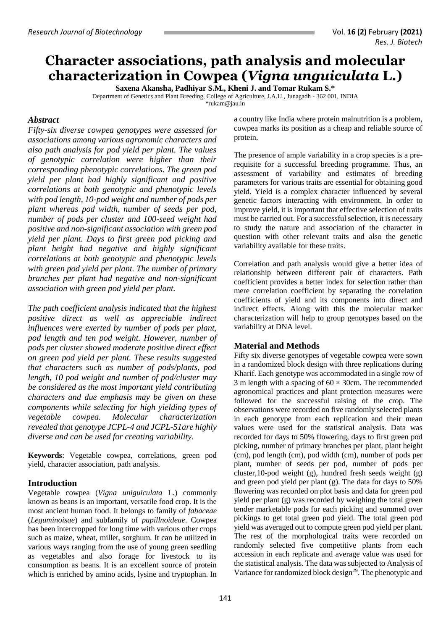# **Character associations, path analysis and molecular characterization in Cowpea (***Vigna unguiculata* **L.)**

**Saxena Akansha, Padhiyar S.M., Kheni J. and Tomar Rukam S.\*** Department of Genetics and Plant Breeding, College of Agriculture, J.A.U., Junagadh - 362 001, INDIA \*rukam@jau.in

## *Abstract*

*Fifty-six diverse cowpea genotypes were assessed for associations among various agronomic characters and also path analysis for pod yield per plant. The values of genotypic correlation were higher than their corresponding phenotypic correlations. The green pod yield per plant had highly significant and positive correlations at both genotypic and phenotypic levels with pod length, 10-pod weight and number of pods per plant whereas pod width, number of seeds per pod, number of pods per cluster and 100-seed weight had positive and non-significant association with green pod yield per plant. Days to first green pod picking and plant height had negative and highly significant correlations at both genotypic and phenotypic levels with green pod yield per plant. The number of primary branches per plant had negative and non-significant association with green pod yield per plant.*

*The path coefficient analysis indicated that the highest positive direct as well as appreciable indirect influences were exerted by number of pods per plant, pod length and ten pod weight. However, number of pods per cluster showed moderate positive direct effect on green pod yield per plant. These results suggested that characters such as number of pods/plants, pod length, 10 pod weight and number of pod/cluster may be considered as the most important yield contributing characters and due emphasis may be given on these components while selecting for high yielding types of vegetable cowpea. Molecular characterization revealed that genotype JCPL-4 and JCPL-51are highly diverse and can be used for creating variability.* 

**Keywords**: Vegetable cowpea, correlations, green pod yield, character association, path analysis.

## **Introduction**

Vegetable cowpea (*Vigna uniguiculata* L*.*) commonly known as beans is an important, versatile food crop. It is the most ancient human food. It belongs to family of *fabaceae*  (*Leguminoisae*) and subfamily of *papillnoideae*. Cowpea has been intercropped for long time with various other crops such as maize, wheat, millet, sorghum. It can be utilized in various ways ranging from the use of young green seedling as vegetables and also forage for livestock to its consumption as beans. It is an excellent source of protein which is enriched by amino acids, lysine and tryptophan. In

a country like India where protein malnutrition is a problem, cowpea marks its position as a cheap and reliable source of protein.

The presence of ample variability in a crop species is a prerequisite for a successful breeding programme. Thus, an assessment of variability and estimates of breeding parameters for various traits are essential for obtaining good yield. Yield is a complex character influenced by several genetic factors interacting with environment. In order to improve yield, it is important that effective selection of traits must be carried out. For a successful selection, it is necessary to study the nature and association of the character in question with other relevant traits and also the genetic variability available for these traits.

Correlation and path analysis would give a better idea of relationship between different pair of characters. Path coefficient provides a better index for selection rather than mere correlation coefficient by separating the correlation coefficients of yield and its components into direct and indirect effects. Along with this the molecular marker characterization will help to group genotypes based on the variability at DNA level.

#### **Material and Methods**

Fifty six diverse genotypes of vegetable cowpea were sown in a randomized block design with three replications during Kharif. Each genotype was accommodated in a single row of 3 m length with a spacing of  $60 \times 30$ cm. The recommended agronomical practices and plant protection measures were followed for the successful raising of the crop. The observations were recorded on five randomly selected plants in each genotype from each replication and their mean values were used for the statistical analysis. Data was recorded for days to 50% flowering, days to first green pod picking, number of primary branches per plant, plant height (cm), pod length (cm), pod width (cm), number of pods per plant, number of seeds per pod, number of pods per cluster,10-pod weight (g), hundred fresh seeds weight (g) and green pod yield per plant (g). The data for days to 50% flowering was recorded on plot basis and data for green pod yield per plant (g) was recorded by weighing the total green tender marketable pods for each picking and summed over pickings to get total green pod yield. The total green pod yield was averaged out to compute green pod yield per plant. The rest of the morphological traits were recorded on randomly selected five competitive plants from each accession in each replicate and average value was used for the statistical analysis. The data was subjected to Analysis of Variance for randomized block design<sup>29</sup>. The phenotypic and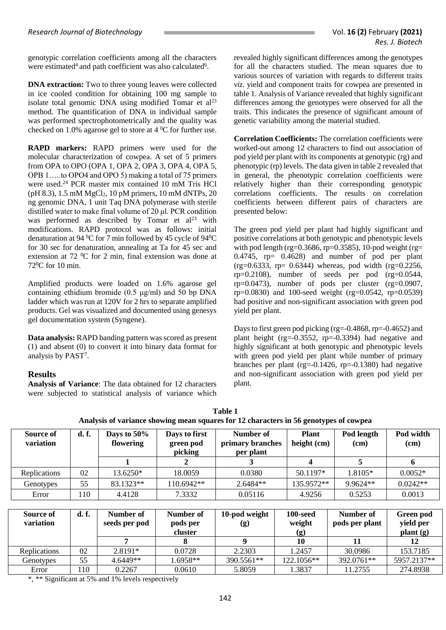genotypic correlation coefficients among all the characters were estimated<sup>4</sup> and path coefficient was also calculated<sup>6</sup>.

**DNA extraction:** Two to three young leaves were collected in ice cooled condition for obtaining 100 mg sample to isolate total genomic DNA using modified Tomar et  $al^{23}$ method. The quantification of DNA in individual sample was performed spectrophotometrically and the quality was checked on 1.0% agarose gel to store at  $4 \degree C$  for further use.

**RAPD markers:** RAPD primers were used for the molecular characterization of cowpea. A set of 5 primers from OPA to OPO (OPA 1, OPA 2, OPA 3, OPA 4, OPA 5, OPB 1…..to OPO4 and OPO 5) making a total of 75 primers were used.<sup>24</sup> PCR master mix contained 10 mM Tris HCl (pH 8.3), 1.5 mM  $MgCl<sub>2</sub>$ , 10 pM primers, 10 mM dNTPs, 20 ng genomic DNA, 1 unit Taq DNA polymerase with sterile distilled water to make final volume of 20 μl. PCR condition was performed as described by Tomar et  $al<sup>23</sup>$  with modifications. RAPD protocol was as follows: initial denaturation at 94  $^{0}$ C for 7 min followed by 45 cycle of 94 $^{0}$ C for 30 sec for denaturation, annealing at Ta for 45 sec and extension at  $72 \text{ °C}$  for 2 min, final extension was done at 72<sup>0</sup>C for 10 min.

Amplified products were loaded on 1.6% agarose gel containing ethidium bromide (0.5 μg/ml) and 50 bp DNA ladder which was run at 120V for 2 hrs to separate amplified products. Gel was visualized and documented using genesys gel documentation system (Syngene).

**Data analysis:** RAPD banding pattern was scored as present (1) and absent (0) to convert it into binary data format for analysis by PAST<sup>7</sup> .

## **Results**

**Analysis of Variance**: The data obtained for 12 characters were subjected to statistical analysis of variance which revealed highly significant differences among the genotypes for all the characters studied. The mean squares due to various sources of variation with regards to different traits *viz*. yield and component traits for cowpea are presented in table 1. Analysis of Variance revealed that highly significant differences among the genotypes were observed for all the traits. This indicates the presence of significant amount of genetic variability among the material studied.

**Correlation Coefficients:** The correlation coefficients were worked-out among 12 characters to find out association of pod yield per plant with its components at genotypic (rg) and phenotypic (rp) levels. The data given in table 2 revealed that in general, the phenotypic correlation coefficients were relatively higher than their corresponding genotypic correlations coefficients. The results on correlation coefficients between different pairs of characters are presented below:

The green pod yield per plant had highly significant and positive correlations at both genotypic and phenotypic levels with pod length (rg= $0.3686$ , rp= $0.3585$ ), 10-pod weight (rg= 0.4745, rp= 0.4628) and number of pod per plant  $(rg=0.6333, rp= 0.6344)$  whereas, pod width  $(rg=0.2256, rp=0.6333)$  $rp=0.2108$ ), number of seeds per pod  $(rg=0.0544)$ ,  $rp=0.0473$ ), number of pods per cluster (rg=0.0907,  $rp=0.0830$  and 100-seed weight (rg=0.0542, rp=0.0539) had positive and non-significant association with green pod yield per plant.

Daysto first green pod picking (rg=-0.4868, rp=-0.4652) and plant height (rg=-0.3552, rp=-0.3394) had negative and highly significant at both genotypic and phenotypic levels with green pod yield per plant while number of primary branches per plant (rg=-0.1426, rp=-0.1380) had negative and non-significant association with green pod yield per plant.

| Analysis of variance showing mean squares for 12 characters in 56 genotypes of cowpea |                    |                          |                                       |                                            |                             |                    |                   |  |  |  |
|---------------------------------------------------------------------------------------|--------------------|--------------------------|---------------------------------------|--------------------------------------------|-----------------------------|--------------------|-------------------|--|--|--|
| Source of<br>variation                                                                | d. f.              | Days to 50%<br>flowering | Days to first<br>green pod<br>picking | Number of<br>primary branches<br>per plant | <b>Plant</b><br>height (cm) | Pod length<br>(cm) | Pod width<br>(cm) |  |  |  |
|                                                                                       |                    |                          | 2                                     | 3                                          | 4                           | 5                  | 6                 |  |  |  |
| Replications                                                                          | 02                 | $13.6250*$               | 18.0059                               | 0.0380                                     | 50.1197*                    | $1.8105*$          | $0.0052*$         |  |  |  |
| Genotypes                                                                             | 55                 | 83.1323**                | 110.6942**                            | $2.6484**$                                 | 135.9572**                  | 9.9624**           | $0.0242**$        |  |  |  |
| Error                                                                                 | 110                | 4.4128                   | 7.3332                                | 0.05116                                    | 4.9256                      | 0.5253             | 0.0013            |  |  |  |
|                                                                                       |                    |                          |                                       |                                            |                             |                    |                   |  |  |  |
| Source of                                                                             | d. f.<br>Number of |                          | Number of                             | 10-pod weight                              | 100-seed                    | Number of          | Green pod         |  |  |  |
| variation                                                                             |                    | seeds per pod            | pods per                              | $\left( \mathbf{g} \right)$                | weight                      | pods per plant     | yield per         |  |  |  |
|                                                                                       |                    |                          | cluster                               |                                            | (g)                         |                    | plant(g)          |  |  |  |
|                                                                                       |                    | 7                        | 8                                     | 9                                          | 10                          | 11                 | 12                |  |  |  |
| Replications                                                                          | 02                 | 2.8191*                  | 0.0728                                | 2.2303                                     | 1.2457                      | 30.0986            | 153.7185          |  |  |  |

| Table 1                                                                               |
|---------------------------------------------------------------------------------------|
| Analysis of variance showing mean squares for 12 characters in 56 genotypes of cowpea |

\*, \*\* Significant at 5% and 1% levels respectively

Genotypes | 55 | 4.6449\*\* | 1.6958\*\* | 390.5561\*\* | 122.1056\*\* | 392.0761\*\* | 5957.2137\*\* Error 110 0.2267 0.0610 5.8059 1.3837 11.2755 274.8938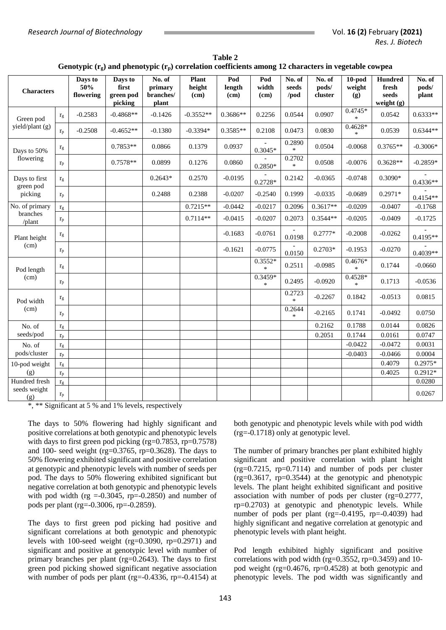| <b>Characters</b>                     |                         | Days to<br>50%<br>flowering | Days to<br>first<br>green pod<br>picking | No. of<br>primary<br>branches/<br>plant | <b>Plant</b><br>height<br>(cm) | Pod<br>length<br>(cm) | Pod<br>width<br>(cm) | No. of<br>seeds<br>/pod | No. of<br>pods/<br>cluster | $10$ -pod<br>weight<br>(g) | <b>Hundred</b><br>fresh<br>seeds<br>weight $(g)$ | No. of<br>pods/<br>plant |
|---------------------------------------|-------------------------|-----------------------------|------------------------------------------|-----------------------------------------|--------------------------------|-----------------------|----------------------|-------------------------|----------------------------|----------------------------|--------------------------------------------------|--------------------------|
| Green pod<br>yield/plant (g)          | $r_g$                   | $-0.2583$                   | $-0.4868**$                              | $-0.1426$                               | $-0.3552**$                    | 0.3686**              | 0.2256               | 0.0544                  | 0.0907                     | $0.4745*$<br>$\ast$        | 0.0542                                           | $0.6333**$               |
|                                       | $r_{p}$                 | $-0.2508$                   | $-0.4652**$                              | $-0.1380$                               | $-0.3394*$                     | $0.3585**$            | 0.2108               | 0.0473                  | 0.0830                     | $0.4628*$<br>$\ast$        | 0.0539                                           | $0.6344**$               |
| Days to 50%<br>flowering              | $r_{g}$                 |                             | 0.7853**                                 | 0.0866                                  | 0.1379                         | 0.0937                | $0.3045*$            | 0.2890<br>$\ast$        | 0.0504                     | $-0.0068$                  | $0.3765**$                                       | $-0.3006*$               |
|                                       | $r_{p}$                 |                             | $0.7578**$                               | 0.0899                                  | 0.1276                         | 0.0860                | 0.2850*              | 0.2702<br>$\ast$        | 0.0508                     | $-0.0076$                  | $0.3628**$                                       | $-0.2859*$               |
| Days to first<br>green pod<br>picking | $r_{g}$                 |                             |                                          | $0.2643*$                               | 0.2570                         | $-0.0195$             | $0.2728*$            | 0.2142                  | $-0.0365$                  | $-0.0748$                  | 0.3090*                                          | $0.4336**$               |
|                                       | $r_{p}$                 |                             |                                          | 0.2488                                  | 0.2388                         | $-0.0207$             | $-0.2540$            | 0.1999                  | $-0.0335$                  | $-0.0689$                  | $0.2971*$                                        | $0.4154**$               |
| No. of primary<br>branches<br>/plant  | $r_{\rm g}$             |                             |                                          |                                         | $0.7215**$                     | $-0.0442$             | $-0.0217$            | 0.2096                  | $0.3617**$                 | $-0.0209$                  | $-0.0407$                                        | $-0.1768$                |
|                                       | $r_{p}$                 |                             |                                          |                                         | $0.7114**$                     | $-0.0415$             | $-0.0207$            | 0.2073                  | $0.3544**$                 | $-0.0205$                  | $-0.0409$                                        | $-0.1725$                |
| Plant height<br>(cm)                  | $\Gamma$                |                             |                                          |                                         |                                | $-0.1683$             | $-0.0761$            | 0.0198                  | $0.2777*$                  | $-0.2008$                  | $-0.0262$                                        | $0.4195**$               |
|                                       | $\rm r_p$               |                             |                                          |                                         |                                | $-0.1621$             | $-0.0775$            | 0.0150                  | $0.2703*$                  | $-0.1953$                  | $-0.0270$                                        | $0.4039**$               |
| Pod length                            | $r_g$                   |                             |                                          |                                         |                                |                       | $0.3552*$<br>$\ast$  | 0.2511                  | $-0.0985$                  | $0.4676*$<br>$\ast$        | 0.1744                                           | $-0.0660$                |
| (cm)                                  | $r_{p}$                 |                             |                                          |                                         |                                |                       | 0.3459*<br>$\ast$    | 0.2495                  | $-0.0920$                  | 0.4528*<br>$\ast$          | 0.1713                                           | $-0.0536$                |
| Pod width<br>(cm)                     | $r_g$                   |                             |                                          |                                         |                                |                       |                      | 0.2723<br>$\ast$        | $-0.2267$                  | 0.1842                     | $-0.0513$                                        | 0.0815                   |
|                                       | $r_{p}$                 |                             |                                          |                                         |                                |                       |                      | 0.2644<br>$\ast$        | $-0.2165$                  | 0.1741                     | $-0.0492$                                        | 0.0750                   |
| No. of                                | $r_{g}$                 |                             |                                          |                                         |                                |                       |                      |                         | 0.2162                     | 0.1788                     | 0.0144                                           | 0.0826                   |
| seeds/pod                             | $r_{p}$                 |                             |                                          |                                         |                                |                       |                      |                         | 0.2051                     | 0.1744                     | 0.0161                                           | 0.0747                   |
| No. of                                | $r_g$                   |                             |                                          |                                         |                                |                       |                      |                         |                            | $-0.0422$                  | $-0.0472$                                        | 0.0031                   |
| pods/cluster                          | $r_{p}$                 |                             |                                          |                                         |                                |                       |                      |                         |                            | $-0.0403$                  | $-0.0466$                                        | 0.0004                   |
| 10-pod weight<br>(g)                  | $\Gamma$                |                             |                                          |                                         |                                |                       |                      |                         |                            |                            | 0.4079                                           | 0.2975*                  |
|                                       | $\mathbf{r}_\mathrm{p}$ |                             |                                          |                                         |                                |                       |                      |                         |                            |                            | 0.4025                                           | $0.2912*$                |
| Hundred fresh                         | $r_{\rm g}$             |                             |                                          |                                         |                                |                       |                      |                         |                            |                            |                                                  | 0.0280                   |
| seeds weight<br>(g)                   | $\mathbf{r}_\text{p}$   |                             |                                          |                                         |                                |                       |                      |                         |                            |                            |                                                  | 0.0267                   |

**Table 2 Genotypic (rg) and phenotypic (rp) correlation coefficients among 12 characters in vegetable cowpea**

\*, \*\* Significant at 5 % and 1% levels, respectively

The days to 50% flowering had highly significant and positive correlations at both genotypic and phenotypic levels with days to first green pod picking (rg=0.7853, rp=0.7578) and 100- seed weight (rg=0.3765, rp=0.3628). The days to 50% flowering exhibited significant and positive correlation at genotypic and phenotypic levels with number of seeds per pod. The days to 50% flowering exhibited significant but negative correlation at both genotypic and phenotypic levels with pod width (rg  $=$ -0.3045, rp=-0.2850) and number of pods per plant (rg=-0.3006, rp=-0.2859).

The days to first green pod picking had positive and significant correlations at both genotypic and phenotypic levels with 100-seed weight (rg=0.3090, rp=0.2971) and significant and positive at genotypic level with number of primary branches per plant (rg=0.2643). The days to first green pod picking showed significant negative association with number of pods per plant (rg=-0.4336, rp=-0.4154) at both genotypic and phenotypic levels while with pod width (rg=-0.1718) only at genotypic level.

The number of primary branches per plant exhibited highly significant and positive correlation with plant height (rg=0.7215, rp=0.7114) and number of pods per cluster  $(rg=0.3617, rp=0.3544)$  at the genotypic and phenotypic levels. The plant height exhibited significant and positive association with number of pods per cluster (rg=0.2777, rp=0.2703) at genotypic and phenotypic levels. While number of pods per plant (rg=-0.4195, rp=-0.4039) had highly significant and negative correlation at genotypic and phenotypic levels with plant height.

Pod length exhibited highly significant and positive correlations with pod width (rg=0.3552, rp=0.3459) and 10 pod weight (rg=0.4676, rp=0.4528) at both genotypic and phenotypic levels. The pod width was significantly and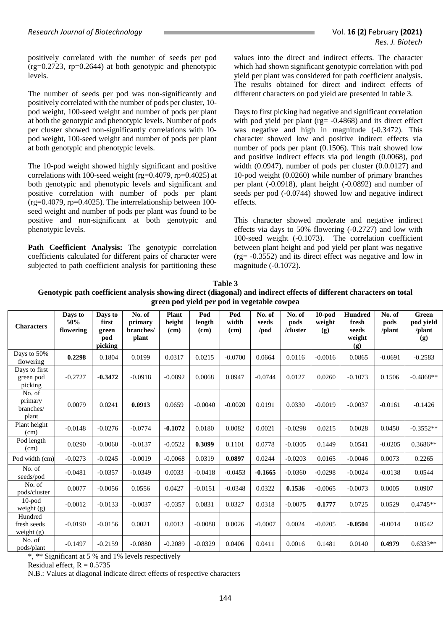positively correlated with the number of seeds per pod  $(rg=0.2723, rp=0.2644)$  at both genotypic and phenotypic levels.

The number of seeds per pod was non-significantly and positively correlated with the number of pods per cluster, 10 pod weight, 100-seed weight and number of pods per plant at both the genotypic and phenotypic levels. Number of pods per cluster showed non-significantly correlations with 10 pod weight, 100-seed weight and number of pods per plant at both genotypic and phenotypic levels.

The 10-pod weight showed highly significant and positive correlations with 100-seed weight (rg=0.4079, rp=0.4025) at both genotypic and phenotypic levels and significant and positive correlation with number of pods per plant (rg=0.4079, rp=0.4025). The interrelationship between 100 seed weight and number of pods per plant was found to be positive and non-significant at both genotypic and phenotypic levels.

Path Coefficient Analysis: The genotypic correlation coefficients calculated for different pairs of character were subjected to path coefficient analysis for partitioning these

values into the direct and indirect effects. The character which had shown significant genotypic correlation with pod yield per plant was considered for path coefficient analysis. The results obtained for direct and indirect effects of different characters on pod yield are presented in table 3.

Days to first picking had negative and significant correlation with pod yield per plant (rg= -0.4868) and its direct effect was negative and high in magnitude (-0.3472). This character showed low and positive indirect effects via number of pods per plant (0.1506). This trait showed low and positive indirect effects via pod length (0.0068), pod width (0.0947), number of pods per cluster (0.0.0127) and 10-pod weight (0.0260) while number of primary branches per plant (-0.0918), plant height (-0.0892) and number of seeds per pod (-0.0744) showed low and negative indirect effects.

This character showed moderate and negative indirect effects via days to 50% flowering (-0.2727) and low with 100-seed weight (-0.1073). The correlation coefficient between plant height and pod yield per plant was negative (rg= -0.3552) and its direct effect was negative and low in magnitude (-0.1072).

| $\mathbf{F}$ con pou $\mathbf{F}$ pour metallement component |                             |                                             |                                         |                                |                       |                      |                         |                            |                            |                                                   |                          |                                     |
|--------------------------------------------------------------|-----------------------------|---------------------------------------------|-----------------------------------------|--------------------------------|-----------------------|----------------------|-------------------------|----------------------------|----------------------------|---------------------------------------------------|--------------------------|-------------------------------------|
| <b>Characters</b>                                            | Days to<br>50%<br>flowering | Days to<br>first<br>green<br>pod<br>picking | No. of<br>primary<br>branches/<br>plant | <b>Plant</b><br>height<br>(cm) | Pod<br>length<br>(cm) | Pod<br>width<br>(cm) | No. of<br>seeds<br>/pod | No. of<br>pods<br>/cluster | $10$ -pod<br>weight<br>(g) | <b>Hundred</b><br>fresh<br>seeds<br>weight<br>(g) | No. of<br>pods<br>/plant | Green<br>pod yield<br>/plant<br>(g) |
| Days to 50%<br>flowering                                     | 0.2298                      | 0.1804                                      | 0.0199                                  | 0.0317                         | 0.0215                | $-0.0700$            | 0.0664                  | 0.0116                     | $-0.0016$                  | 0.0865                                            | $-0.0691$                | $-0.2583$                           |
| Days to first<br>green pod<br>picking                        | $-0.2727$                   | $-0.3472$                                   | $-0.0918$                               | $-0.0892$                      | 0.0068                | 0.0947               | $-0.0744$               | 0.0127                     | 0.0260                     | $-0.1073$                                         | 0.1506                   | $-0.4868**$                         |
| No. of<br>primary<br>branches/<br>plant                      | 0.0079                      | 0.0241                                      | 0.0913                                  | 0.0659                         | $-0.0040$             | $-0.0020$            | 0.0191                  | 0.0330                     | $-0.0019$                  | $-0.0037$                                         | $-0.0161$                | $-0.1426$                           |
| Plant height<br>(cm)                                         | $-0.0148$                   | $-0.0276$                                   | $-0.0774$                               | $-0.1072$                      | 0.0180                | 0.0082               | 0.0021                  | $-0.0298$                  | 0.0215                     | 0.0028                                            | 0.0450                   | $-0.3552**$                         |
| Pod length<br>(cm)                                           | 0.0290                      | $-0.0060$                                   | $-0.0137$                               | $-0.0522$                      | 0.3099                | 0.1101               | 0.0778                  | $-0.0305$                  | 0.1449                     | 0.0541                                            | $-0.0205$                | $0.3686**$                          |
| Pod width (cm)                                               | $-0.0273$                   | $-0.0245$                                   | $-0.0019$                               | $-0.0068$                      | 0.0319                | 0.0897               | 0.0244                  | $-0.0203$                  | 0.0165                     | $-0.0046$                                         | 0.0073                   | 0.2265                              |
| No. of<br>seeds/pod                                          | $-0.0481$                   | $-0.0357$                                   | $-0.0349$                               | 0.0033                         | $-0.0418$             | $-0.0453$            | $-0.1665$               | $-0.0360$                  | $-0.0298$                  | $-0.0024$                                         | $-0.0138$                | 0.0544                              |
| No. of<br>pods/cluster                                       | 0.0077                      | $-0.0056$                                   | 0.0556                                  | 0.0427                         | $-0.0151$             | $-0.0348$            | 0.0322                  | 0.1536                     | $-0.0065$                  | $-0.0073$                                         | 0.0005                   | 0.0907                              |
| $10$ -pod<br>weight $(g)$                                    | $-0.0012$                   | $-0.0133$                                   | $-0.0037$                               | $-0.0357$                      | 0.0831                | 0.0327               | 0.0318                  | $-0.0075$                  | 0.1777                     | 0.0725                                            | 0.0529                   | $0.4745**$                          |
| Hundred<br>fresh seeds<br>weight $(g)$                       | $-0.0190$                   | $-0.0156$                                   | 0.0021                                  | 0.0013                         | $-0.0088$             | 0.0026               | $-0.0007$               | 0.0024                     | $-0.0205$                  | $-0.0504$                                         | $-0.0014$                | 0.0542                              |
| No. of<br>pods/plant                                         | $-0.1497$                   | $-0.2159$                                   | $-0.0880$                               | $-0.2089$                      | $-0.0329$             | 0.0406               | 0.0411                  | 0.0016                     | 0.1481                     | 0.0140                                            | 0.4979                   | $0.6333**$                          |

**Table 3 Genotypic path coefficient analysis showing direct (diagonal) and indirect effects of different characters on total green pod yield per pod in vegetable cowpea**

\*, \*\* Significant at 5 % and 1% levels respectively

Residual effect,  $R = 0.5735$ 

N.B.: Values at diagonal indicate direct effects of respective characters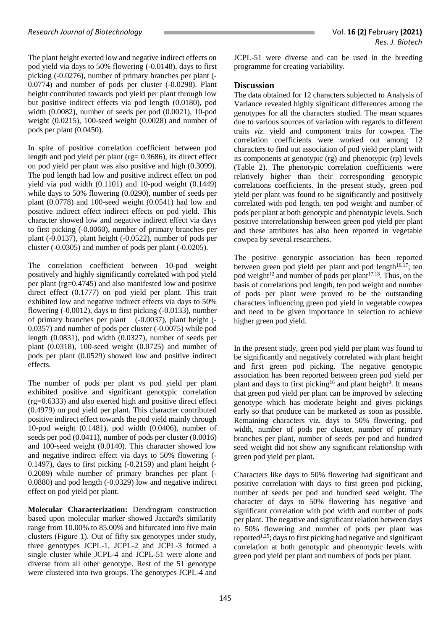The plant height exerted low and negative indirect effects on pod yield via days to 50% flowering (-0.0148), days to first picking (-0.0276), number of primary branches per plant (- 0.0774) and number of pods per cluster (-0.0298). Plant height contributed towards pod yield per plant through low but positive indirect effects via pod length (0.0180), pod width (0.0082), number of seeds per pod (0.0021), 10-pod weight (0.0215), 100-seed weight (0.0028) and number of pods per plant (0.0450).

In spite of positive correlation coefficient between pod length and pod yield per plant (rg= 0.3686), its direct effect on pod yield per plant was also positive and high (0.3099). The pod length had low and positive indirect effect on pod yield via pod width (0.1101) and 10-pod weight (0.1449) while days to 50% flowering (0.0290), number of seeds per plant (0.0778) and 100-seed weight (0.0541) had low and positive indirect effect indirect effects on pod yield. This character showed low and negative indirect effect via days to first picking (-0.0060), number of primary branches per plant (-0.0137), plant height (-0.0522), number of pods per cluster (-0.0305) and number of pods per plant (-0.0205).

The correlation coefficient between 10-pod weight positively and highly significantly correlated with pod yield per plant (rg=0.4745) and also manifested low and positive direct effect (0.1777) on pod yield per plant. This trait exhibited low and negative indirect effects via days to 50% flowering (-0.0012), days to first picking (-0.0133), number of primary branches per plant (-0.0037), plant height (- 0.0357) and number of pods per cluster (-0.0075) while pod length (0.0831), pod width (0.0327), number of seeds per plant (0.0318), 100-seed weight (0.0725) and number of pods per plant (0.0529) showed low and positive indirect effects.

The number of pods per plant vs pod yield per plant exhibited positive and significant genotypic correlation (rg=0.6333) and also exerted high and positive direct effect (0.4979) on pod yield per plant. This character contributed positive indirect effect towards the pod yield mainly through 10-pod weight (0.1481), pod width (0.0406), number of seeds per pod (0.0411), number of pods per cluster (0.0016) and 100-seed weight (0.0140). This character showed low and negative indirect effect via days to 50% flowering (- 0.1497), days to first picking (-0.2159) and plant height (- 0.2089) while number of primary branches per plant (- 0.0880) and pod length (-0.0329) low and negative indirect effect on pod yield per plant.

**Molecular Characterization:** Dendrogram construction based upon molecular marker showed Jaccard's similarity range from 10.00% to 85.00% and bifurcated into five main clusters (Figure 1). Out of fifty six genotypes under study, three genotypes JCPL-1, JCPL-2 and JCPL-3 formed a single cluster while JCPL-4 and JCPL-51 were alone and diverse from all other genotype. Rest of the 51 genotype were clustered into two groups. The genotypes JCPL-4 and JCPL-51 were diverse and can be used in the breeding programme for creating variability.

#### **Discussion**

The data obtained for 12 characters subjected to Analysis of Variance revealed highly significant differences among the genotypes for all the characters studied. The mean squares due to various sources of variation with regards to different traits *viz*. yield and component traits for cowpea. The correlation coefficients were worked out among 12 characters to find out association of pod yield per plant with its components at genotypic (rg) and phenotypic (rp) levels (Table 2). The phenotypic correlation coefficients were relatively higher than their corresponding genotypic correlations coefficients. In the present study, green pod yield per plant was found to be significantly and positively correlated with pod length, ten pod weight and number of pods per plant at both genotypic and phenotypic levels. Such positive interrelationship between green pod yield per plant and these attributes has also been reported in vegetable cowpea by several researchers.

The positive genotypic association has been reported between green pod yield per plant and pod length $16,17$ ; ten pod weight<sup>12</sup> and number of pods per plant<sup>17,18</sup>. Thus, on the basis of correlations pod length, ten pod weight and number of pods per plant were proved to be the outstanding characters influencing green pod yield in vegetable cowpea and need to be given importance in selection to achieve higher green pod yield.

In the present study, green pod yield per plant was found to be significantly and negatively correlated with plant height and first green pod picking. The negative genotypic association has been reported between green pod yield per plant and days to first picking<sup>16</sup> and plant height<sup>3</sup>. It means that green pod yield per plant can be improved by selecting genotype which has moderate height and gives pickings early so that produce can be marketed as soon as possible. Remaining characters viz. days to 50% flowering, pod width, number of pods per cluster, number of primary branches per plant, number of seeds per pod and hundred seed weight did not show any significant relationship with green pod yield per plant.

Characters like days to 50% flowering had significant and positive correlation with days to first green pod picking, number of seeds per pod and hundred seed weight. The character of days to 50% flowering has negative and significant correlation with pod width and number of pods per plant. The negative and significant relation between days to 50% flowering and number of pods per plant was reported<sup>1,25</sup>; days to first picking had negative and significant correlation at both genotypic and phenotypic levels with green pod yield per plant and numbers of pods per plant.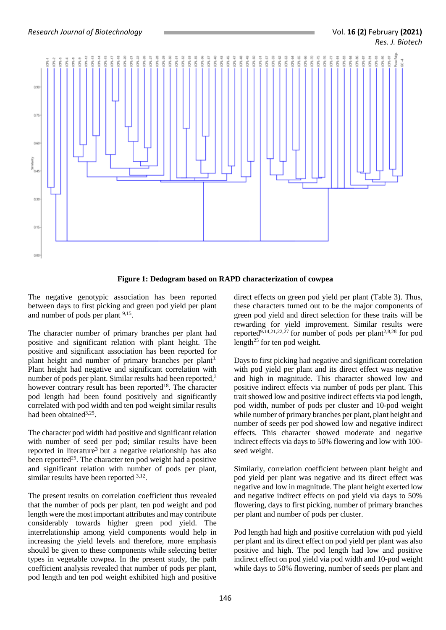$0.9$ 

 $0.7$ 

 $0.6$ 

 $0.3$ 

 $0.00$ 



**Figure 1: Dedogram based on RAPD characterization of cowpea**

The negative genotypic association has been reported between days to first picking and green pod yield per plant and number of pods per plant <sup>9,15</sup>.

The character number of primary branches per plant had positive and significant relation with plant height. The positive and significant association has been reported for plant height and number of primary branches per plant<sup>3.</sup> Plant height had negative and significant correlation with number of pods per plant. Similar results had been reported,<sup>3</sup> however contrary result has been reported<sup>18</sup>. The character pod length had been found positively and significantly correlated with pod width and ten pod weight similar results had been obtained<sup>3,25</sup>.

The character pod width had positive and significant relation with number of seed per pod; similar results have been reported in literature<sup>3</sup> but a negative relationship has also been reported<sup>25</sup>. The character ten pod weight had a positive and significant relation with number of pods per plant, similar results have been reported  $3,12$ .

The present results on correlation coefficient thus revealed that the number of pods per plant, ten pod weight and pod length were the most important attributes and may contribute considerably towards higher green pod yield. The interrelationship among yield components would help in increasing the yield levels and therefore, more emphasis should be given to these components while selecting better types in vegetable cowpea. In the present study, the path coefficient analysis revealed that number of pods per plant, pod length and ten pod weight exhibited high and positive

direct effects on green pod yield per plant (Table 3). Thus, these characters turned out to be the major components of green pod yield and direct selection for these traits will be rewarding for yield improvement. Similar results were reported<sup>9,14,21,22,27</sup> for number of pods per plant<sup>2,8,28</sup> for pod length<sup>25</sup> for ten pod weight.

Days to first picking had negative and significant correlation with pod yield per plant and its direct effect was negative and high in magnitude. This character showed low and positive indirect effects via number of pods per plant. This trait showed low and positive indirect effects via pod length, pod width, number of pods per cluster and 10-pod weight while number of primary branches per plant, plant height and number of seeds per pod showed low and negative indirect effects. This character showed moderate and negative indirect effects via days to 50% flowering and low with 100 seed weight.

Similarly, correlation coefficient between plant height and pod yield per plant was negative and its direct effect was negative and low in magnitude. The plant height exerted low and negative indirect effects on pod yield via days to 50% flowering, days to first picking, number of primary branches per plant and number of pods per cluster.

Pod length had high and positive correlation with pod yield per plant and its direct effect on pod yield per plant was also positive and high. The pod length had low and positive indirect effect on pod yield via pod width and 10-pod weight while days to 50% flowering, number of seeds per plant and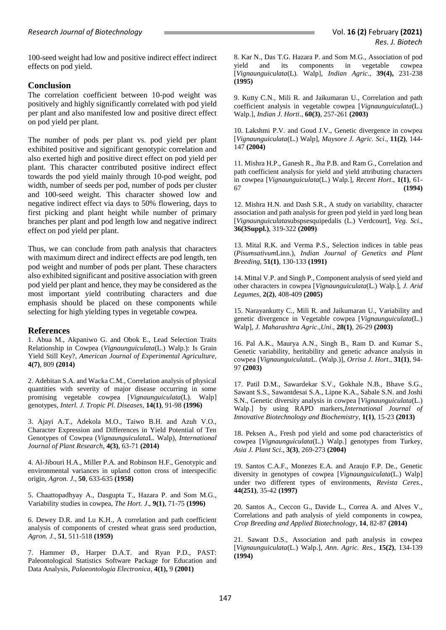100-seed weight had low and positive indirect effect indirect effects on pod yield.

## **Conclusion**

The correlation coefficient between 10-pod weight was positively and highly significantly correlated with pod yield per plant and also manifested low and positive direct effect on pod yield per plant.

The number of pods per plant vs. pod yield per plant exhibited positive and significant genotypic correlation and also exerted high and positive direct effect on pod yield per plant. This character contributed positive indirect effect towards the pod yield mainly through 10-pod weight, pod width, number of seeds per pod, number of pods per cluster and 100-seed weight. This character showed low and negative indirect effect via days to 50% flowering, days to first picking and plant height while number of primary branches per plant and pod length low and negative indirect effect on pod yield per plant.

Thus, we can conclude from path analysis that characters with maximum direct and indirect effects are pod length, ten pod weight and number of pods per plant. These characters also exhibited significant and positive association with green pod yield per plant and hence, they may be considered as the most important yield contributing characters and due emphasis should be placed on these components while selecting for high yielding types in vegetable cowpea.

#### **References**

1. Abua M., Akpaniwo G. and Obok E., Lead Selection Traits Relationship in Cowpea (*Vignaunguiculata*(L.) Walp.): Is Grain Yield Still Key?, *American Journal of Experimental Agriculture,*  **4(7)**, 809 **(2014)**

2. Adebitan S.A. and Wacka C.M., Correlation analysis of physical quantities with severity of major disease occurring in some promising vegetable cowpea [*Vignaunguiculata*(L). Walp] genotypes, *Interl. J. Tropic Pl. Diseases*, **14(1)**, 91-98 **(1996)**

3. Ajayi A.T., Adekola M.O., Taiwo B.H. and Azuh V.O., Character Expression and Differences in Yield Potential of Ten Genotypes of Cowpea (*Vignaunguiculata*L. Walp), *International Journal of Plant Research*, **4(3)**, 63-71 **(2014)**

4. Al-Jibouri H.A., Miller P.A. and Robinson H.F., Genotypic and environmental variances in upland cotton cross of interspecific origin, *Agron. J*., **50**, 633-635 **(1958)**

5. Chaattopadhyay A., Dasgupta T., Hazara P. and Som M.G., Variability studies in cowpea, *The Hort. J*., **9(1)**, 71-75 **(1996)**

6. Dewey D.R. and Lu K.H., A correlation and path coefficient analysis of components of crested wheat grass seed production, *Agron. J.*, **51**, 511-518 **(1959)**

7. Hammer Ø., Harper D.A.T. and Ryan P.D., PAST: Paleontological Statistics Software Package for Education and Data Analysis, *Palaeontologia Electronica*, **4(1),** 9 **(2001)**

8. Kar N., Das T.G. Hazara P. and Som M.G., Association of pod yield and its components in vegetable cowpea [*Vignaunguiculata*(L). Walp], *Indian Agric*., **39(4),** 231-238 **(1995)**

9. Kutty C.N., Mili R. and Jaikumaran U., Correlation and path coefficient analysis in vegetable cowpea [*Vignaunguiculata*(L.) Walp.], *Indian J. Horti*., **60(3)**, 257-261 **(2003)**

10. Lakshmi P.V. and Goud J.V., Genetic divergence in cowpea [*Vignaunguiculata*(L.) Walp], *Maysore J. Agric. Sci*., **11(2)**, 144- 147 **(2004)**

11. Mishra H.P., Ganesh R., Jha P.B. and Ram G., Correlation and path coefficient analysis for yield and yield attributing characters in cowpea [*Vignaunguiculata*(L.) Walp*.*], *Recent Hort*., **1(1)**, 61- 67 **(1994)**

12. Mishra H.N. and Dash S.R., A study on variability, character association and path analysis for green pod yield in yard long bean [*Vignaunguiculata*subspsesquipedalis (L.) Verdcourt], *Veg. Sci*., **36(3Suppl.)**, 319-322 **(2009)**

13. Mital R.K. and Verma P.S., Selection indices in table peas (*Pisumsativum*Linn.), *Indian Journal of Genetics and Plant Breeding*, **51(1)**, 130-133 **(1991)**

14. Mittal V.P. and Singh P., Component analysis of seed yield and other characters in cowpea [*Vignaunguiculata*(L.) Walp.], *J. Arid Legumes*, **2(2)**, 408-409 **(2005)**

15. Narayankutty C., Mili R. and Jaikumaran U., Variability and genetic divergence in Vegetable cowpea [*Vignaunguiculata*(L.) Walp], *J. Maharashtra Agric*.,*Uni*., **28(1)**, 26-29 **(2003)**

16. Pal A.K., Maurya A.N., Singh B., Ram D. and Kumar S., Genetic variability, heritability and genetic advance analysis in cowpea [*Vignaunguiculata*L. (Walp.)], *Orrisa J. Hort*., **31(1)**, 94- 97 **(2003)**

17. Patil D.M., Sawardekar S.V., Gokhale N.B., Bhave S.G., Sawant S.S., Sawantdesai S.A., Lipne K.A., Sabale S.N. and Joshi S.N., Genetic diversity analysis in cowpea [*Vignaunguiculata*(L.) Walp.] by using RAPD markers,*International Journal of Innovative Biotechnology and Biochemistry*, **1(1)**, 15-23 **(2013)**

18. Peksen A., Fresh pod yield and some pod characteristics of cowpea [*Vignaunguiculata*(L.) Walp.] genotypes from Turkey, *Asia J. Plant Sci*., **3(3)**, 269-273 **(2004)**

19. Santos C.A.F., Monezes E.A. and Araujo F.P. De., Genetic diversity in genotypes of cowpea [*Vignaunguiculata*(L.) Walp] under two different types of environments, *Revista Ceres.*, **44(251)**, 35-42 **(1997)**

20. Santos A., Ceccon G., Davide L., Correa A. and Alves V., Correlations and path analysis of yield components in cowpea, *Crop Breeding and Applied Biotechnology*, **14**, 82-87 **(2014)**

21. Sawant D.S., Association and path analysis in cowpea [*Vignaunguiculata*(L.) Walp.], *Ann. Agric. Res.,* **15(2)**, 134-139 **(1994)**